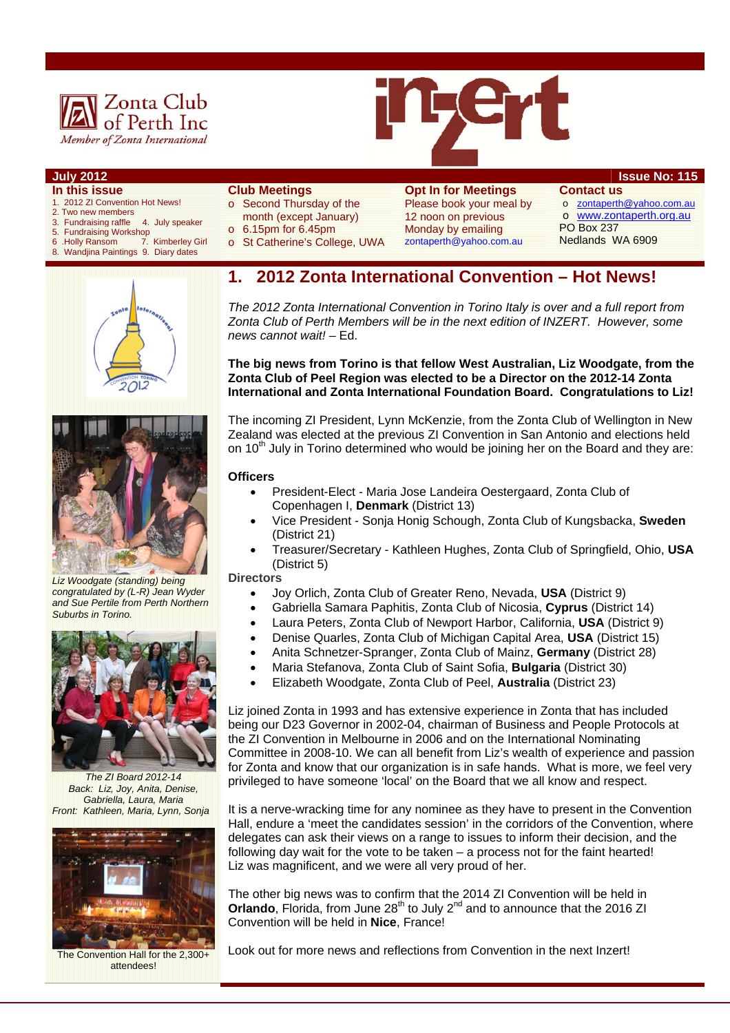



- **In this issue**
- 1. 2012 ZI Convention Hot News!
- 2. Two new members
- 3. Fundraising raffle 4. July speaker
- 5. Fundraising Workshop<br>6. Holly Ransom 7. 7. Kimberley Girl
- 8. Wandjina Paintings 9. Diary dates

#### **Club Meetings**

- o Second Thursday of the
- month (except January)
- $\circ$  6.15pm for 6.45pm
- o St Catherine's College, UWA

**Opt In for Meetings**  Please book your meal by 12 noon on previous Monday by emailing zontaperth@yahoo.com.au

**July 2012 Issue No: 115**

**Contact us**  o zontaperth@yahoo.com.au o www.zontaperth.org.au PO Box 237 Nedlands WA 6909

# **1. 2012 Zonta International Convention – Hot News!**

*The 2012 Zonta International Convention in Torino Italy is over and a full report from Zonta Club of Perth Members will be in the next edition of INZERT. However, some news cannot wait!* – Ed.

#### **The big news from Torino is that fellow West Australian, Liz Woodgate, from the Zonta Club of Peel Region was elected to be a Director on the 2012-14 Zonta International and Zonta International Foundation Board. Congratulations to Liz!**

The incoming ZI President, Lynn McKenzie, from the Zonta Club of Wellington in New Zealand was elected at the previous ZI Convention in San Antonio and elections held on  $10<sup>th</sup>$  July in Torino determined who would be joining her on the Board and they are:

#### **Officers**

- President-Elect Maria Jose Landeira Oestergaard, Zonta Club of Copenhagen I, **Denmark** (District 13)
- Vice President Sonja Honig Schough, Zonta Club of Kungsbacka, **Sweden** (District 21)
- Treasurer/Secretary Kathleen Hughes, Zonta Club of Springfield, Ohio, **USA** (District 5)

#### **Directors**

- Joy Orlich, Zonta Club of Greater Reno, Nevada, **USA** (District 9)
	- Gabriella Samara Paphitis, Zonta Club of Nicosia, **Cyprus** (District 14)
	- Laura Peters, Zonta Club of Newport Harbor, California, **USA** (District 9)
	- Denise Quarles, Zonta Club of Michigan Capital Area, **USA** (District 15)
	- Anita Schnetzer-Spranger, Zonta Club of Mainz, **Germany** (District 28)
- Maria Stefanova, Zonta Club of Saint Sofia, **Bulgaria** (District 30)
- Elizabeth Woodgate, Zonta Club of Peel, **Australia** (District 23)

Liz joined Zonta in 1993 and has extensive experience in Zonta that has included being our D23 Governor in 2002-04, chairman of Business and People Protocols at the ZI Convention in Melbourne in 2006 and on the International Nominating Committee in 2008-10. We can all benefit from Liz's wealth of experience and passion for Zonta and know that our organization is in safe hands. What is more, we feel very privileged to have someone 'local' on the Board that we all know and respect.

It is a nerve-wracking time for any nominee as they have to present in the Convention Hall, endure a 'meet the candidates session' in the corridors of the Convention, where delegates can ask their views on a range to issues to inform their decision, and the following day wait for the vote to be taken – a process not for the faint hearted! Liz was magnificent, and we were all very proud of her.

The other big news was to confirm that the 2014 ZI Convention will be held in **Orlando**, Florida, from June 28<sup>th</sup> to July 2<sup>nd</sup> and to announce that the 2016 ZI Convention will be held in **Nice**, France!

Look out for more news and reflections from Convention in the next Inzert!



*Liz Woodgate (standing) being congratulated by (L-R) Jean Wyder and Sue Pertile from Perth Northern Suburbs in Torino.* 



*The ZI Board 2012-14 Back: Liz, Joy, Anita, Denise, Gabriella, Laura, Maria Front: Kathleen, Maria, Lynn, Sonja* 



The Convention Hall for the 2,300+ attendees!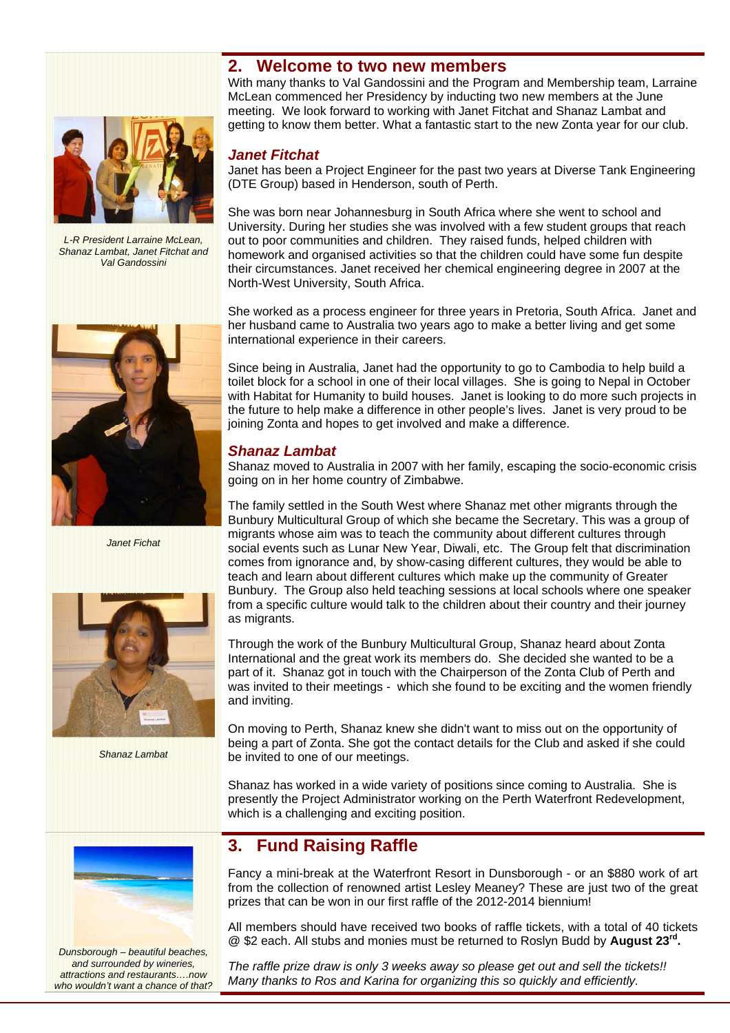### **2. Welcome to two new members**

With many thanks to Val Gandossini and the Program and Membership team, Larraine McLean commenced her Presidency by inducting two new members at the June meeting. We look forward to working with Janet Fitchat and Shanaz Lambat and getting to know them better. What a fantastic start to the new Zonta year for our club.

### *Janet Fitchat*

Janet has been a Project Engineer for the past two years at Diverse Tank Engineering (DTE Group) based in Henderson, south of Perth.

She was born near Johannesburg in South Africa where she went to school and University. During her studies she was involved with a few student groups that reach out to poor communities and children. They raised funds, helped children with homework and organised activities so that the children could have some fun despite their circumstances. Janet received her chemical engineering degree in 2007 at the North-West University, South Africa.

She worked as a process engineer for three years in Pretoria, South Africa. Janet and her husband came to Australia two years ago to make a better living and get some international experience in their careers.

Since being in Australia, Janet had the opportunity to go to Cambodia to help build a toilet block for a school in one of their local villages. She is going to Nepal in October with Habitat for Humanity to build houses. Janet is looking to do more such projects in the future to help make a difference in other people's lives. Janet is very proud to be joining Zonta and hopes to get involved and make a difference.

#### *Shanaz Lambat*

Shanaz moved to Australia in 2007 with her family, escaping the socio-economic crisis going on in her home country of Zimbabwe.

The family settled in the South West where Shanaz met other migrants through the Bunbury Multicultural Group of which she became the Secretary. This was a group of migrants whose aim was to teach the community about different cultures through social events such as Lunar New Year, Diwali, etc. The Group felt that discrimination comes from ignorance and, by show-casing different cultures, they would be able to teach and learn about different cultures which make up the community of Greater Bunbury. The Group also held teaching sessions at local schools where one speaker from a specific culture would talk to the children about their country and their journey as migrants.

Through the work of the Bunbury Multicultural Group, Shanaz heard about Zonta International and the great work its members do. She decided she wanted to be a part of it. Shanaz got in touch with the Chairperson of the Zonta Club of Perth and was invited to their meetings - which she found to be exciting and the women friendly and inviting.

On moving to Perth, Shanaz knew she didn't want to miss out on the opportunity of being a part of Zonta. She got the contact details for the Club and asked if she could be invited to one of our meetings.

Shanaz has worked in a wide variety of positions since coming to Australia. She is presently the Project Administrator working on the Perth Waterfront Redevelopment, which is a challenging and exciting position.

### **3. Fund Raising Raffle**

Fancy a mini-break at the Waterfront Resort in Dunsborough - or an \$880 work of art from the collection of renowned artist Lesley Meaney? These are just two of the great prizes that can be won in our first raffle of the 2012-2014 biennium!

All members should have received two books of raffle tickets, with a total of 40 tickets @ \$2 each. All stubs and monies must be returned to Roslyn Budd by **August 23rd.** 

*The raffle prize draw is only 3 weeks away so please get out and sell the tickets!! Many thanks to Ros and Karina for organizing this so quickly and efficiently.* 



*Shanaz Lambat* 



*Dunsborough – beautiful beaches, and surrounded by wineries, attractions and restaurants….now who wouldn't want a chance of that?* 





*Janet Fichat*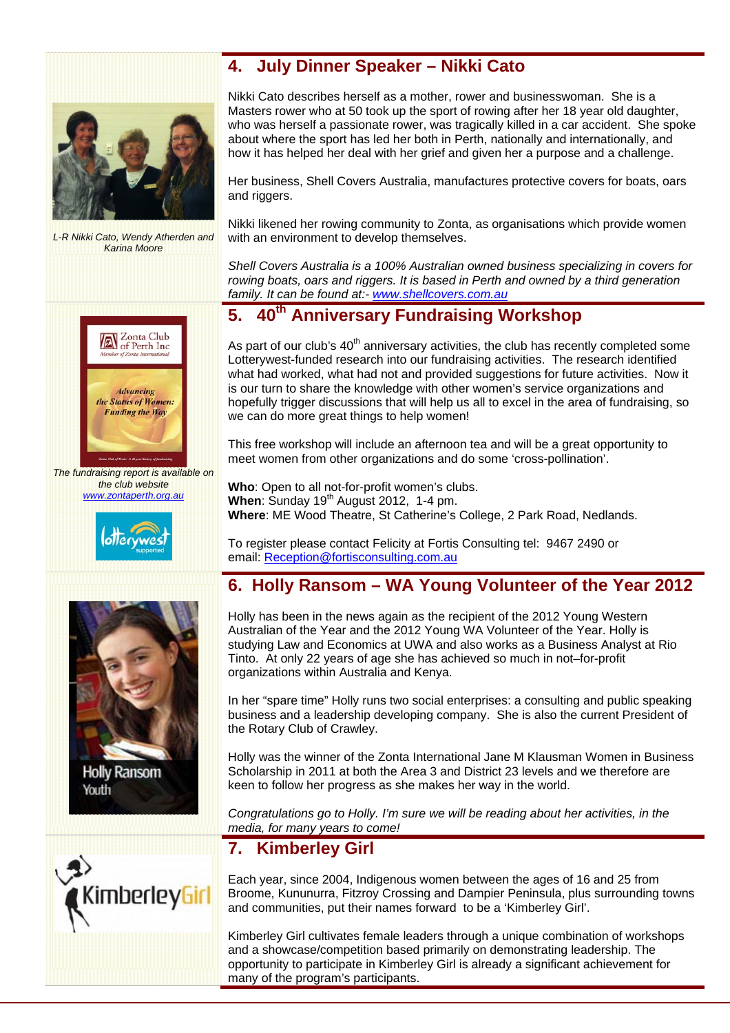### **4. July Dinner Speaker – Nikki Cato**



*L-R Nikki Cato, Wendy Atherden and Karina Moore* 

Zonta Club<br>of Perth Inc



Her business, Shell Covers Australia, manufactures protective covers for boats, oars and riggers.

Nikki likened her rowing community to Zonta, as organisations which provide women with an environment to develop themselves.

*Shell Covers Australia is a 100% Australian owned business specializing in covers for rowing boats, oars and riggers. It is based in Perth and owned by a third generation family. It can be found at:- www.shellcovers.com.au*

## **5. 40th Anniversary Fundraising Workshop**

As part of our club's  $40<sup>th</sup>$  anniversary activities, the club has recently completed some Lotterywest-funded research into our fundraising activities. The research identified what had worked, what had not and provided suggestions for future activities. Now it is our turn to share the knowledge with other women's service organizations and hopefully trigger discussions that will help us all to excel in the area of fundraising, so we can do more great things to help women!

This free workshop will include an afternoon tea and will be a great opportunity to meet women from other organizations and do some 'cross-pollination'.

**Who**: Open to all not-for-profit women's clubs. When: Sunday 19<sup>th</sup> August 2012, 1-4 pm. **Where**: ME Wood Theatre, St Catherine's College, 2 Park Road, Nedlands.

To register please contact Felicity at Fortis Consulting tel: 9467 2490 or email: Reception@fortisconsulting.com.au

### **6. Holly Ransom – WA Young Volunteer of the Year 2012**

Holly has been in the news again as the recipient of the 2012 Young Western Australian of the Year and the 2012 Young WA Volunteer of the Year. Holly is studying Law and Economics at UWA and also works as a Business Analyst at Rio Tinto. At only 22 years of age she has achieved so much in not–for-profit organizations within Australia and Kenya.

In her "spare time" Holly runs two social enterprises: a consulting and public speaking business and a leadership developing company. She is also the current President of the Rotary Club of Crawley.

Holly was the winner of the Zonta International Jane M Klausman Women in Business Scholarship in 2011 at both the Area 3 and District 23 levels and we therefore are keen to follow her progress as she makes her way in the world.

*Congratulations go to Holly. I'm sure we will be reading about her activities, in the media, for many years to come!*

### **7. Kimberley Girl**

Each year, since 2004, Indigenous women between the ages of 16 and 25 from Broome, Kununurra, Fitzroy Crossing and Dampier Peninsula, plus surrounding towns and communities, put their names forward to be a 'Kimberley Girl'.

Kimberley Girl cultivates female leaders through a unique combination of workshops and a showcase/competition based primarily on demonstrating leadership. The opportunity to participate in Kimberley Girl is already a significant achievement for many of the program's participants.





**Holly Ransom** Youth